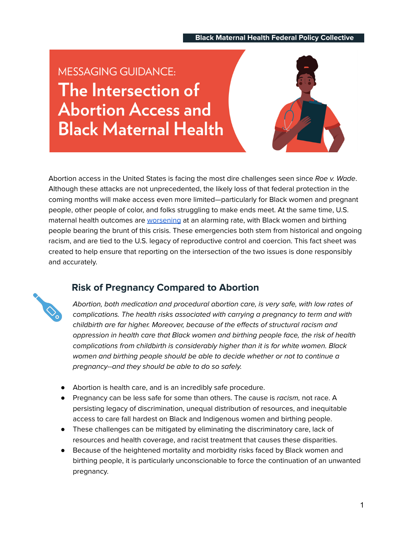#### **\_\_ Black Maternal Health Federal Policy Collective\_ \_**

**MESSAGING GUIDANCE:** The Intersection of **Abortion Access and Black Maternal Health** 



Abortion access in the United States is facing the most dire challenges seen since Roe v. Wade. Although these attacks are not unprecedented, the likely loss of that federal protection in the coming months will make access even more limited—particularly for Black women and pregnant people, other people of color, and folks struggling to make ends meet. At the same time, U.S. maternal health outcomes are [worsening](https://tcf.org/content/commentary/worsening-u-s-maternal-health-crisis-three-graphs/) at an alarming rate, with Black women and birthing people bearing the brunt of this crisis. These emergencies both stem from historical and ongoing racism, and are tied to the U.S. legacy of reproductive control and coercion. This fact sheet was created to help ensure that reporting on the intersection of the two issues is done responsibly and accurately.



### **Risk of Pregnancy Compared to Abortion**

Abortion, both medication and procedural abortion care, is very safe, with low rates of complications. The health risks associated with carrying a pregnancy to term and with childbirth are far higher. Moreover, because of the effects of structural racism and oppression in health care that Black women and birthing people face, the risk of health complications from childbirth is considerably higher than it is for white women. Black women and birthing people should be able to decide whether or not to continue a pregnancy--and they should be able to do so safely.

- Abortion is health care, and is an incredibly safe procedure.
- Pregnancy can be less safe for some than others. The cause is *racism*, not race. A persisting legacy of discrimination, unequal distribution of resources, and inequitable access to care fall hardest on Black and Indigenous women and birthing people.
- These challenges can be mitigated by eliminating the discriminatory care, lack of resources and health coverage, and racist treatment that causes these disparities.
- Because of the heightened mortality and morbidity risks faced by Black women and birthing people, it is particularly unconscionable to force the continuation of an unwanted pregnancy.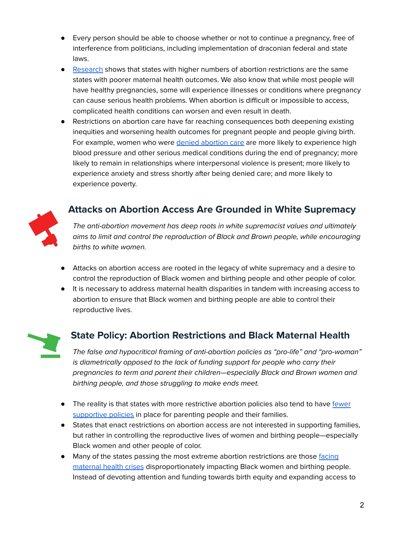- Every person should be able to choose whether or not to continue a pregnancy, free of interference from politicians, including implementation of draconian federal and state laws.
- [Research](https://pubmed.ncbi.nlm.nih.gov/34410825/) shows that states with higher numbers of abortion restrictions are the same states with poorer maternal health outcomes. We also know that while most people will have healthy pregnancies, some will experience illnesses or conditions where pregnancy can cause serious health problems. When abortion is difficult or impossible to access, complicated health conditions can worsen and even result in death.
- Restrictions on abortion care have far reaching consequences both deepening existing inequities and worsening health outcomes for pregnant people and people giving birth. For example, women who were denied [abortion](https://www.ansirh.org/sites/default/files/publications/files/the_harms_of_denying_a_woman_a_wanted_abortion_4-16-2020.pdf) care are more likely to experience high blood pressure and other serious medical conditions during the end of pregnancy; more likely to remain in relationships where interpersonal violence is present; more likely to experience anxiety and stress shortly after being denied care; and more likely to experience poverty.



# **Attacks on Abortion Access Are Grounded in White Supremacy**

The anti-abortion movement has deep roots in white supremacist values and ultimately aims to limit and control the reproduction of Black and Brown people, while encouraging births to white women.

- Attacks on abortion access are rooted in the legacy of white supremacy and a desire to control the reproduction of Black women and birthing people and other people of color.
- It is necessary to address maternal health disparities in tandem with increasing access to abortion to ensure that Black women and birthing people are able to control their reproductive lives.



### **State Policy: Abortion Restrictions and Black Maternal Health**

The false and hypocritical framing of anti-abortion policies as "pro-life" and "pro-woman" is diametrically opposed to the lack of funding support for people who carry their pregnancies to term and parent their children—especially Black and Brown women and birthing people, and those struggling to make ends meet.

- The reality is that states with more restrictive abortion policies also tend to have [fewer](https://evaluatingpriorities.org/) [supportive](https://evaluatingpriorities.org/) policies in place for parenting people and their families.
- States that enact restrictions on abortion access are not interested in supporting families, but rather in controlling the reproductive lives of women and birthing people—especially Black women and other people of color.
- Many of the states passing the most extreme abortion restrictions are those [facing](https://pubmed.ncbi.nlm.nih.gov/34410825/) [maternal](https://pubmed.ncbi.nlm.nih.gov/34410825/) health crises disproportionately impacting Black women and birthing people. Instead of devoting attention and funding towards birth equity and expanding access to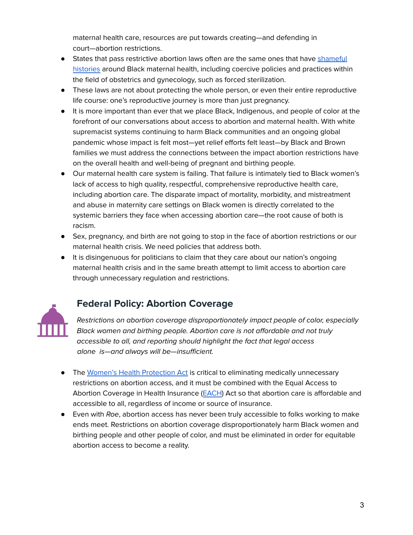maternal health care, resources are put towards creating—and defending in court—abortion restrictions.

- States that pass restrictive abortion laws often are the same ones that have [shameful](https://journals.sagepub.com/doi/10.1177/1073110520958875) [histories](https://journals.sagepub.com/doi/10.1177/1073110520958875) around Black maternal health, including coercive policies and practices within the field of obstetrics and gynecology, such as forced sterilization.
- These laws are not about protecting the whole person, or even their entire reproductive life course: one's reproductive journey is more than just pregnancy.
- It is more important than ever that we place Black, Indigenous, and people of color at the forefront of our conversations about access to abortion and maternal health. With white supremacist systems continuing to harm Black communities and an ongoing global pandemic whose impact is felt most—yet relief efforts felt least—by Black and Brown families we must address the connections between the impact abortion restrictions have on the overall health and well-being of pregnant and birthing people.
- Our maternal health care system is failing. That failure is intimately tied to Black women's lack of access to high quality, respectful, comprehensive reproductive health care, including abortion care. The disparate impact of mortality, morbidity, and mistreatment and abuse in maternity care settings on Black women is directly correlated to the systemic barriers they face when accessing abortion care—the root cause of both is racism.
- Sex, pregnancy, and birth are not going to stop in the face of abortion restrictions or our maternal health crisis. We need policies that address both.
- It is disingenuous for politicians to claim that they care about our nation's ongoing maternal health crisis and in the same breath attempt to limit access to abortion care through unnecessary regulation and restrictions.



# **Federal Policy: Abortion Coverage**

Restrictions on abortion coverage disproportionately impact people of color, especially Black women and birthing people. Abortion care is not affordable and not truly accessible to all, and reporting should highlight the fact that legal access alone is—and always will be—insufficient.

- The Women's Health [Protection](https://www.congress.gov/bill/117th-congress/house-bill/3755/text) Act is critical to eliminating medically unnecessary restrictions on abortion access, and it must be combined with the Equal Access to Abortion Coverage in Health Insurance ([EACH](https://www.congress.gov/bill/117th-congress/senate-bill/1021/text)) Act so that abortion care is affordable and accessible to all, regardless of income or source of insurance.
- Even with Roe, abortion access has never been truly accessible to folks working to make ends meet. Restrictions on abortion coverage disproportionately harm Black women and birthing people and other people of color, and must be eliminated in order for equitable abortion access to become a reality.